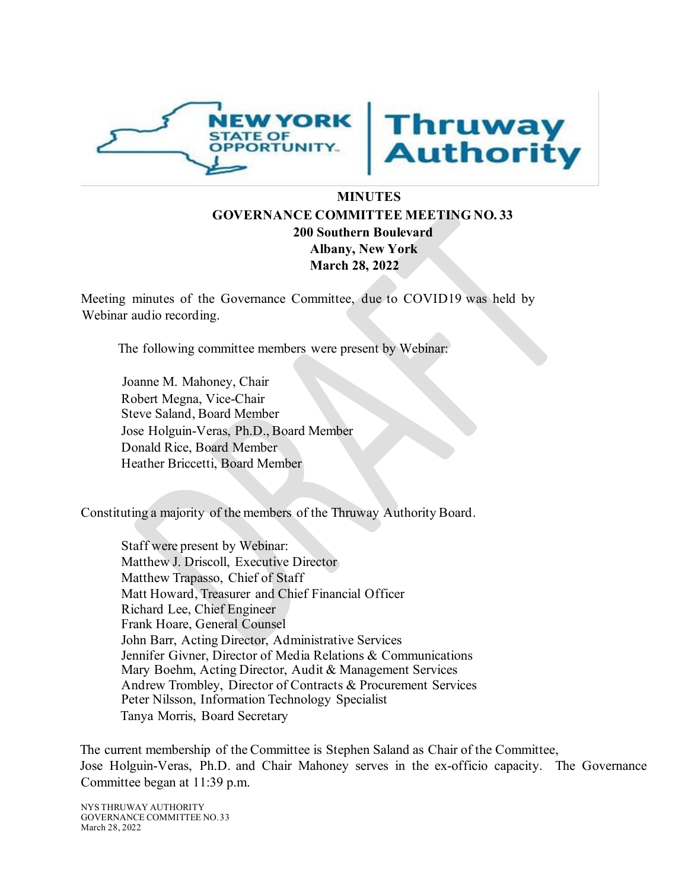



## **MINUTES GOVERNANCE COMMITTEE MEETING NO. 33 200 Southern Boulevard Albany, New York March 28, 2022**

Meeting minutes of the Governance Committee, due to COVID19 was held by Webinar audio recording.

The following committee members were present by Webinar:

Joanne M. Mahoney, Chair Robert Megna, Vice-Chair Steve Saland, Board Member Jose Holguin-Veras, Ph.D., Board Member Donald Rice, Board Member Heather Briccetti, Board Member

Constituting a majority of the members of the Thruway Authority Board.

Staff were present by Webinar: Matthew J. Driscoll, Executive Director Matthew Trapasso, Chief of Staff Matt Howard, Treasurer and Chief Financial Officer Richard Lee, Chief Engineer Frank Hoare, General Counsel John Barr, Acting Director, Administrative Services Jennifer Givner, Director of Media Relations & Communications Mary Boehm, Acting Director, Audit & Management Services Andrew Trombley, Director of Contracts & Procurement Services Peter Nilsson, Information Technology Specialist Tanya Morris, Board Secretary

The current membership of the Committee is Stephen Saland as Chair of the Committee, Jose Holguin-Veras, Ph.D. and Chair Mahoney serves in the ex-officio capacity. The Governance Committee began at 11:39 p.m.

NYS THRUWAY AUTHORITY GOVERNANCE COMMITTEE NO.33 March 28, 2022